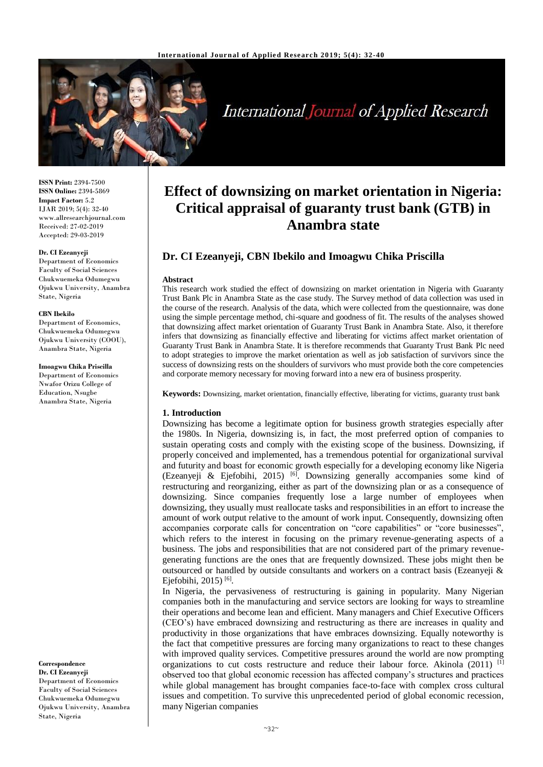

# **International Journal of Applied Research**

**ISSN Print:** 2394-7500 **ISSN Online:** 2394-5869 **Impact Factor:** 5.2 IJAR 2019; 5(4): 32-40 www.allresearchjournal.com Received: 27-02-2019 Accepted: 29-03-2019

#### **Dr. CI Ezeanyeji**

Department of Economics Faculty of Social Sciences Chukwuemeka Odumegwu Ojukwu University, Anambra State, Nigeria

#### **CBN Ibekilo**

Department of Economics, Chukwuemeka Odumegwu Ojukwu University (COOU), Anambra State, Nigeria

**Imoagwu Chika Priscilla** Department of Economics Nwafor Orizu College of Education, Nsugbe Anambra State, Nigeria

**Correspondence Dr. CI Ezeanyeji**  Department of Economics Faculty of Social Sciences Chukwuemeka Odumegwu Ojukwu University, Anambra State, Nigeria

## **Effect of downsizing on market orientation in Nigeria: Critical appraisal of guaranty trust bank (GTB) in Anambra state**

## **Dr. CI Ezeanyeji, CBN Ibekilo and Imoagwu Chika Priscilla**

#### **Abstract**

This research work studied the effect of downsizing on market orientation in Nigeria with Guaranty Trust Bank Plc in Anambra State as the case study. The Survey method of data collection was used in the course of the research. Analysis of the data, which were collected from the questionnaire, was done using the simple percentage method, chi-square and goodness of fit. The results of the analyses showed that downsizing affect market orientation of Guaranty Trust Bank in Anambra State. Also, it therefore infers that downsizing as financially effective and liberating for victims affect market orientation of Guaranty Trust Bank in Anambra State. It is therefore recommends that Guaranty Trust Bank Plc need to adopt strategies to improve the market orientation as well as job satisfaction of survivors since the success of downsizing rests on the shoulders of survivors who must provide both the core competencies and corporate memory necessary for moving forward into a new era of business prosperity.

**Keywords:** Downsizing, market orientation, financially effective, liberating for victims, guaranty trust bank

#### **1. Introduction**

Downsizing has become a legitimate option for business growth strategies especially after the 1980s. In Nigeria, downsizing is, in fact, the most preferred option of companies to sustain operating costs and comply with the existing scope of the business. Downsizing, if properly conceived and implemented, has a tremendous potential for organizational survival and futurity and boast for economic growth especially for a developing economy like Nigeria (Ezeanyeji & Ejefobihi, 2015) <sup>[6]</sup>. Downsizing generally accompanies some kind of restructuring and reorganizing, either as part of the downsizing plan or as a consequence of downsizing. Since companies frequently lose a large number of employees when downsizing, they usually must reallocate tasks and responsibilities in an effort to increase the amount of work output relative to the amount of work input. Consequently, downsizing often accompanies corporate calls for concentration on "core capabilities" or "core businesses", which refers to the interest in focusing on the primary revenue-generating aspects of a business. The jobs and responsibilities that are not considered part of the primary revenuegenerating functions are the ones that are frequently downsized. These jobs might then be outsourced or handled by outside consultants and workers on a contract basis (Ezeanyeji  $\&$ Ejefobihi, 2015)<sup>[6]</sup>.

In Nigeria, the pervasiveness of restructuring is gaining in popularity. Many Nigerian companies both in the manufacturing and service sectors are looking for ways to streamline their operations and become lean and efficient. Many managers and Chief Executive Officers (CEO's) have embraced downsizing and restructuring as there are increases in quality and productivity in those organizations that have embraces downsizing. Equally noteworthy is the fact that competitive pressures are forcing many organizations to react to these changes with improved quality services. Competitive pressures around the world are now prompting organizations to cut costs restructure and reduce their labour force. Akinola (2011) <sup>[1]</sup> observed too that global economic recession has affected company's structures and practices while global management has brought companies face-to-face with complex cross cultural issues and competition. To survive this unprecedented period of global economic recession, many Nigerian companies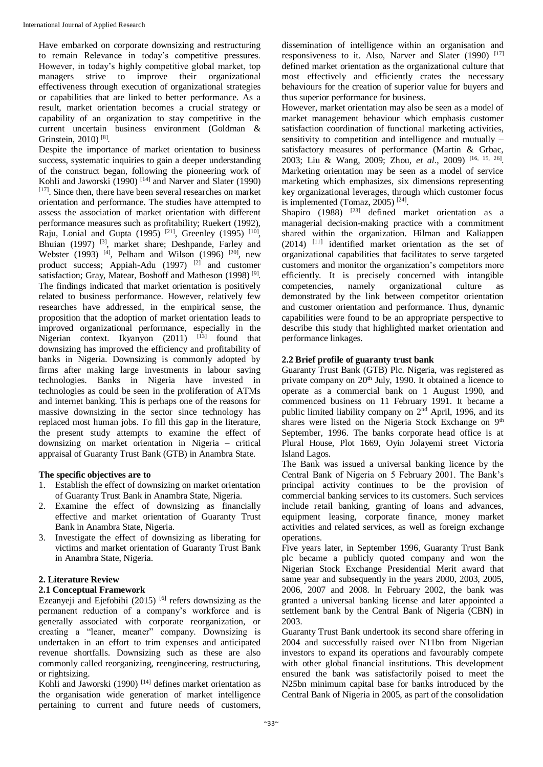Have embarked on corporate downsizing and restructuring to remain Relevance in today's competitive pressures. However, in today's highly competitive global market, top managers strive to improve their organizational effectiveness through execution of organizational strategies or capabilities that are linked to better performance. As a result, market orientation becomes a crucial strategy or capability of an organization to stay competitive in the current uncertain business environment (Goldman & Grinstein, 2010)<sup>[8]</sup>.

Despite the importance of market orientation to business success, systematic inquiries to gain a deeper understanding of the construct began, following the pioneering work of Kohli and Jaworski  $(1990)$ <sup>[14]</sup> and Narver and Slater (1990) [17]. Since then, there have been several researches on market orientation and performance. The studies have attempted to assess the association of market orientation with different performance measures such as profitability; Ruekert (1992), Raju, Lonial and Gupta (1995)<sup>[21]</sup>, Greenley (1995)<sup>[10]</sup>, Bhuian (1997) [3], market share; Deshpande, Farley and Webster (1993) <sup>[4]</sup>, Pelham and Wilson (1996) <sup>[20]</sup>, new product success; Appiah-Adu (1997) [2] and customer satisfaction; Gray, Matear, Boshoff and Matheson (1998)<sup>[9]</sup>. The findings indicated that market orientation is positively related to business performance. However, relatively few researches have addressed, in the empirical sense, the proposition that the adoption of market orientation leads to improved organizational performance, especially in the Nigerian context. Ikyanyon  $(2011)$   $[13]$  found that downsizing has improved the efficiency and profitability of banks in Nigeria. Downsizing is commonly adopted by firms after making large investments in labour saving technologies. Banks in Nigeria have invested in technologies as could be seen in the proliferation of ATMs and internet banking. This is perhaps one of the reasons for massive downsizing in the sector since technology has replaced most human jobs. To fill this gap in the literature, the present study attempts to examine the effect of downsizing on market orientation in Nigeria – critical appraisal of Guaranty Trust Bank (GTB) in Anambra State.

## **The specific objectives are to**

- 1. Establish the effect of downsizing on market orientation of Guaranty Trust Bank in Anambra State, Nigeria.
- Examine the effect of downsizing as financially effective and market orientation of Guaranty Trust Bank in Anambra State, Nigeria.
- 3. Investigate the effect of downsizing as liberating for victims and market orientation of Guaranty Trust Bank in Anambra State, Nigeria.

## **2. Literature Review**

## **2.1 Conceptual Framework**

Ezeanyeji and Ejefobihi  $(2015)$  <sup>[6]</sup> refers downsizing as the permanent reduction of a company's workforce and is generally associated with corporate reorganization, or creating a "leaner, meaner" company. Downsizing is undertaken in an effort to trim expenses and anticipated revenue shortfalls. Downsizing such as these are also commonly called reorganizing, reengineering, restructuring, or rightsizing.

Kohli and Jaworski (1990)<sup>[14]</sup> defines market orientation as the organisation wide generation of market intelligence pertaining to current and future needs of customers,

dissemination of intelligence within an organisation and responsiveness to it. Also, Narver and Slater (1990)  $[17]$ defined market orientation as the organizational culture that most effectively and efficiently crates the necessary behaviours for the creation of superior value for buyers and thus superior performance for business.

However, market orientation may also be seen as a model of market management behaviour which emphasis customer satisfaction coordination of functional marketing activities, sensitivity to competition and intelligence and mutually – satisfactory measures of performance (Martin & Grbac, 2003; Liu & Wang, 2009; Zhou, *et al*., 2009) [16, 15, 26] . Marketing orientation may be seen as a model of service marketing which emphasizes, six dimensions representing key organizational leverages, through which customer focus is implemented (Tomaz, 2005)<sup>[24]</sup>.

Shapiro  $(1988)$ <sup>[23]</sup> defined market orientation as a managerial decision-making practice with a commitment shared within the organization. Hilman and Kaliappen (2014) [11] identified market orientation as the set of organizational capabilities that facilitates to serve targeted customers and monitor the organization's competitors more efficiently. It is precisely concerned with intangible competencies, namely organizational culture as demonstrated by the link between competitor orientation and customer orientation and performance. Thus, dynamic capabilities were found to be an appropriate perspective to describe this study that highlighted market orientation and performance linkages.

## **2.2 Brief profile of guaranty trust bank**

Guaranty Trust Bank (GTB) Plc. Nigeria, was registered as private company on  $20<sup>th</sup>$  July, 1990. It obtained a licence to operate as a commercial bank on 1 August 1990, and commenced business on 11 February 1991. It became a public limited liability company on  $2<sup>nd</sup>$  April, 1996, and its shares were listed on the Nigeria Stock Exchange on 9<sup>th</sup> September, 1996. The banks corporate head office is at Plural House, Plot 1669, Oyin Jolayemi street Victoria Island Lagos.

The Bank was issued a universal banking licence by the Central Bank of Nigeria on 5 February 2001. The Bank's principal activity continues to be the provision of commercial banking services to its customers. Such services include retail banking, granting of loans and advances, equipment leasing, corporate finance, money market activities and related services, as well as foreign exchange operations.

Five years later, in September 1996, Guaranty Trust Bank plc became a publicly quoted company and won the Nigerian Stock Exchange Presidential Merit award that same year and subsequently in the years 2000, 2003, 2005, 2006, 2007 and 2008. In February 2002, the bank was granted a universal banking license and later appointed a settlement bank by the Central Bank of Nigeria (CBN) in 2003.

Guaranty Trust Bank undertook its second share offering in 2004 and successfully raised over N11bn from Nigerian investors to expand its operations and favourably compete with other global financial institutions. This development ensured the bank was satisfactorily poised to meet the N25bn minimum capital base for banks introduced by the Central Bank of Nigeria in 2005, as part of the consolidation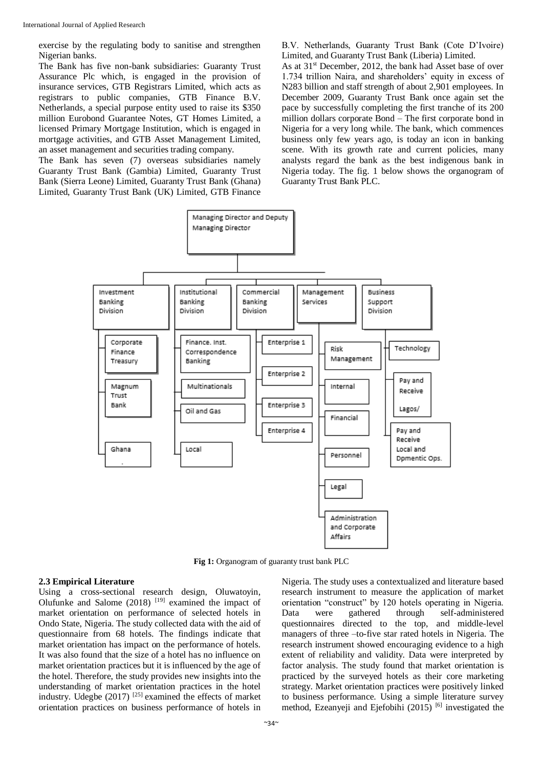exercise by the regulating body to sanitise and strengthen Nigerian banks.

The Bank has five non-bank subsidiaries: Guaranty Trust Assurance Plc which, is engaged in the provision of insurance services, GTB Registrars Limited, which acts as registrars to public companies, GTB Finance B.V. Netherlands, a special purpose entity used to raise its \$350 million Eurobond Guarantee Notes, GT Homes Limited, a licensed Primary Mortgage Institution, which is engaged in mortgage activities, and GTB Asset Management Limited, an asset management and securities trading company.

The Bank has seven (7) overseas subsidiaries namely Guaranty Trust Bank (Gambia) Limited, Guaranty Trust Bank (Sierra Leone) Limited, Guaranty Trust Bank (Ghana) Limited, Guaranty Trust Bank (UK) Limited, GTB Finance B.V. Netherlands, Guaranty Trust Bank (Cote D'Ivoire) Limited, and Guaranty Trust Bank (Liberia) Limited.

As at 31<sup>st</sup> December, 2012, the bank had Asset base of over 1.734 trillion Naira, and shareholders' equity in excess of N283 billion and staff strength of about 2,901 employees. In December 2009, Guaranty Trust Bank once again set the pace by successfully completing the first tranche of its 200 million dollars corporate Bond – The first corporate bond in Nigeria for a very long while. The bank, which commences business only few years ago, is today an icon in banking scene. With its growth rate and current policies, many analysts regard the bank as the best indigenous bank in Nigeria today. The fig. 1 below shows the organogram of Guaranty Trust Bank PLC.



**Fig 1:** Organogram of guaranty trust bank PLC

#### **2.3 Empirical Literature**

Using a cross-sectional research design, Oluwatoyin, Olufunke and Salome  $(2018)$ <sup>[19]</sup> examined the impact of market orientation on performance of selected hotels in Ondo State, Nigeria. The study collected data with the aid of questionnaire from 68 hotels. The findings indicate that market orientation has impact on the performance of hotels. It was also found that the size of a hotel has no influence on market orientation practices but it is influenced by the age of the hotel. Therefore, the study provides new insights into the understanding of market orientation practices in the hotel industry. Udegbe (2017) [25] examined the effects of market orientation practices on business performance of hotels in

Nigeria. The study uses a contextualized and literature based research instrument to measure the application of market orientation "construct" by 120 hotels operating in Nigeria. Data were gathered through self-administered questionnaires directed to the top, and middle-level managers of three –to-five star rated hotels in Nigeria. The research instrument showed encouraging evidence to a high extent of reliability and validity. Data were interpreted by factor analysis. The study found that market orientation is practiced by the surveyed hotels as their core marketing strategy. Market orientation practices were positively linked to business performance. Using a simple literature survey method, Ezeanyeji and Ejefobihi (2015) <sup>[6]</sup> investigated the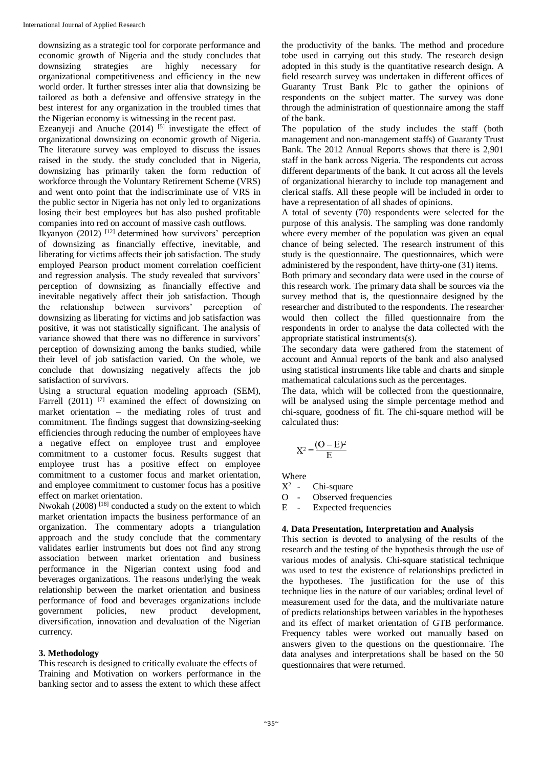downsizing as a strategic tool for corporate performance and economic growth of Nigeria and the study concludes that downsizing strategies are highly necessary for organizational competitiveness and efficiency in the new world order. It further stresses inter alia that downsizing be tailored as both a defensive and offensive strategy in the best interest for any organization in the troubled times that the Nigerian economy is witnessing in the recent past.

Ezeanyeji and Anuche (2014) <sup>[5]</sup> investigate the effect of organizational downsizing on economic growth of Nigeria. The literature survey was employed to discuss the issues raised in the study. the study concluded that in Nigeria, downsizing has primarily taken the form reduction of workforce through the Voluntary Retirement Scheme (VRS) and went onto point that the indiscriminate use of VRS in the public sector in Nigeria has not only led to organizations losing their best employees but has also pushed profitable companies into red on account of massive cash outflows.

Ikyanyon  $(2012)$ <sup>[12]</sup> determined how survivors' perception of downsizing as financially effective, inevitable, and liberating for victims affects their job satisfaction. The study employed Pearson product moment correlation coefficient and regression analysis. The study revealed that survivors' perception of downsizing as financially effective and inevitable negatively affect their job satisfaction. Though the relationship between survivors' perception of downsizing as liberating for victims and job satisfaction was positive, it was not statistically significant. The analysis of variance showed that there was no difference in survivors' perception of downsizing among the banks studied, while their level of job satisfaction varied. On the whole, we conclude that downsizing negatively affects the job satisfaction of survivors.

Using a structural equation modeling approach (SEM), Farrell  $(2011)$  <sup>[7]</sup> examined the effect of downsizing on market orientation – the mediating roles of trust and commitment. The findings suggest that downsizing-seeking efficiencies through reducing the number of employees have a negative effect on employee trust and employee commitment to a customer focus. Results suggest that employee trust has a positive effect on employee commitment to a customer focus and market orientation, and employee commitment to customer focus has a positive effect on market orientation.

Nwokah (2008)  $^{[18]}$  conducted a study on the extent to which market orientation impacts the business performance of an organization. The commentary adopts a triangulation approach and the study conclude that the commentary validates earlier instruments but does not find any strong association between market orientation and business performance in the Nigerian context using food and beverages organizations. The reasons underlying the weak relationship between the market orientation and business performance of food and beverages organizations include government policies, new product development, diversification, innovation and devaluation of the Nigerian currency.

## **3. Methodology**

This research is designed to critically evaluate the effects of Training and Motivation on workers performance in the banking sector and to assess the extent to which these affect the productivity of the banks. The method and procedure tobe used in carrying out this study. The research design adopted in this study is the quantitative research design. A field research survey was undertaken in different offices of Guaranty Trust Bank Plc to gather the opinions of respondents on the subject matter. The survey was done through the administration of questionnaire among the staff of the bank.

The population of the study includes the staff (both management and non-management staffs) of Guaranty Trust Bank. The 2012 Annual Reports shows that there is 2,901 staff in the bank across Nigeria. The respondents cut across different departments of the bank. It cut across all the levels of organizational hierarchy to include top management and clerical staffs. All these people will be included in order to have a representation of all shades of opinions.

A total of seventy (70) respondents were selected for the purpose of this analysis. The sampling was done randomly where every member of the population was given an equal chance of being selected. The research instrument of this study is the questionnaire. The questionnaires, which were administered by the respondent, have thirty-one (31) items.

Both primary and secondary data were used in the course of this research work. The primary data shall be sources via the survey method that is, the questionnaire designed by the researcher and distributed to the respondents. The researcher would then collect the filled questionnaire from the respondents in order to analyse the data collected with the appropriate statistical instruments(s).

The secondary data were gathered from the statement of account and Annual reports of the bank and also analysed using statistical instruments like table and charts and simple mathematical calculations such as the percentages.

The data, which will be collected from the questionnaire, will be analysed using the simple percentage method and chi-square, goodness of fit. The chi-square method will be calculated thus:

$$
X^2 = \frac{(O-E)^2}{E}
$$

Where

 $X^2$  -Chi-square

O - Observed frequencies

E - Expected frequencies

## **4. Data Presentation, Interpretation and Analysis**

This section is devoted to analysing of the results of the research and the testing of the hypothesis through the use of various modes of analysis. Chi-square statistical technique was used to test the existence of relationships predicted in the hypotheses. The justification for the use of this technique lies in the nature of our variables; ordinal level of measurement used for the data, and the multivariate nature of predicts relationships between variables in the hypotheses and its effect of market orientation of GTB performance. Frequency tables were worked out manually based on answers given to the questions on the questionnaire. The data analyses and interpretations shall be based on the 50 questionnaires that were returned.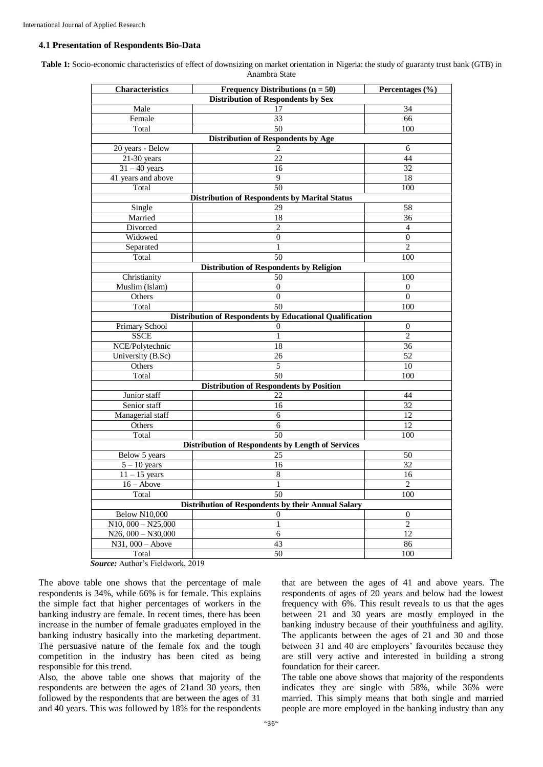#### **4.1 Presentation of Respondents Bio-Data**

**Table 1:** Socio-economic characteristics of effect of downsizing on market orientation in Nigeria: the study of guaranty trust bank (GTB) in Anambra State

| Characteristics         | Frequency Distributions $(n = 50)$                         | Percentages $(\% )$ |
|-------------------------|------------------------------------------------------------|---------------------|
|                         | <b>Distribution of Respondents by Sex</b>                  |                     |
| Male                    | 17                                                         | 34                  |
| Female                  | 33                                                         | 66                  |
| Total                   | 50                                                         | 100                 |
|                         | Distribution of Respondents by Age                         |                     |
| 20 years - Below        | 2                                                          | 6                   |
| $21-30$ years           | 22                                                         | 44                  |
| $31 - 40$ years         | 16                                                         | 32                  |
| 41 years and above      | 9                                                          | 18                  |
| Total                   | 50<br><b>Distribution of Respondents by Marital Status</b> | 100                 |
| Single                  | 29                                                         | 58                  |
| Married                 | 18                                                         | 36                  |
| Divorced                | $\overline{2}$                                             | $\overline{4}$      |
| Widowed                 | $\overline{0}$                                             | $\boldsymbol{0}$    |
| Separated               | 1                                                          | $\overline{c}$      |
| Total                   | 50                                                         | 100                 |
|                         | Distribution of Respondents by Religion                    |                     |
| Christianity            | 50                                                         | 100                 |
| Muslim (Islam)          | $\boldsymbol{0}$                                           | $\theta$            |
| Others                  | $\theta$                                                   | $\theta$            |
| Total                   | 50                                                         | 100                 |
|                         | Distribution of Respondents by Educational Qualification   |                     |
| Primary School          | $\theta$                                                   | $\mathbf{0}$        |
| <b>SSCE</b>             | 1                                                          | $\overline{2}$      |
| NCE/Polytechnic         | 18                                                         | 36                  |
| University (B.Sc)       | 26                                                         | 52                  |
| Others                  | 5                                                          | 10                  |
| Total                   | 50                                                         | 100                 |
|                         | <b>Distribution of Respondents by Position</b>             |                     |
| Junior staff            | 22                                                         | 44                  |
| Senior staff            | 16                                                         | 32                  |
| Managerial staff        | 6                                                          | 12                  |
| Others                  | 6                                                          | 12                  |
| Total                   | 50                                                         | 100                 |
|                         | <b>Distribution of Respondents by Length of Services</b>   |                     |
| Below 5 years           | 25                                                         | 50                  |
| $5 - 10$ years          | 16                                                         | 32                  |
| $11 - 15$ years         | $\,8\,$                                                    | 16                  |
| $16 - Above$            | 1                                                          | $\sqrt{2}$          |
| Total                   | 50                                                         | 100                 |
|                         | <b>Distribution of Respondents by their Annual Salary</b>  |                     |
| <b>Below N10,000</b>    | 0                                                          | $\mathbf{0}$        |
| $N10$ , $000 - N25,000$ | 1                                                          | $\overline{2}$      |
| $N26,000 - N30,000$     | 6                                                          | 12                  |
| $N31,000 - Above$       | 43                                                         | 86                  |
| Total                   | 50                                                         | 100                 |

*Source:* Author's Fieldwork, 2019

The above table one shows that the percentage of male respondents is 34%, while 66% is for female. This explains the simple fact that higher percentages of workers in the banking industry are female. In recent times, there has been increase in the number of female graduates employed in the banking industry basically into the marketing department. The persuasive nature of the female fox and the tough competition in the industry has been cited as being responsible for this trend.

Also, the above table one shows that majority of the respondents are between the ages of 21and 30 years, then followed by the respondents that are between the ages of 31 and 40 years. This was followed by 18% for the respondents

that are between the ages of 41 and above years. The respondents of ages of 20 years and below had the lowest frequency with 6%. This result reveals to us that the ages between 21 and 30 years are mostly employed in the banking industry because of their youthfulness and agility. The applicants between the ages of 21 and 30 and those between 31 and 40 are employers' favourites because they are still very active and interested in building a strong foundation for their career.

The table one above shows that majority of the respondents indicates they are single with 58%, while 36% were married. This simply means that both single and married people are more employed in the banking industry than any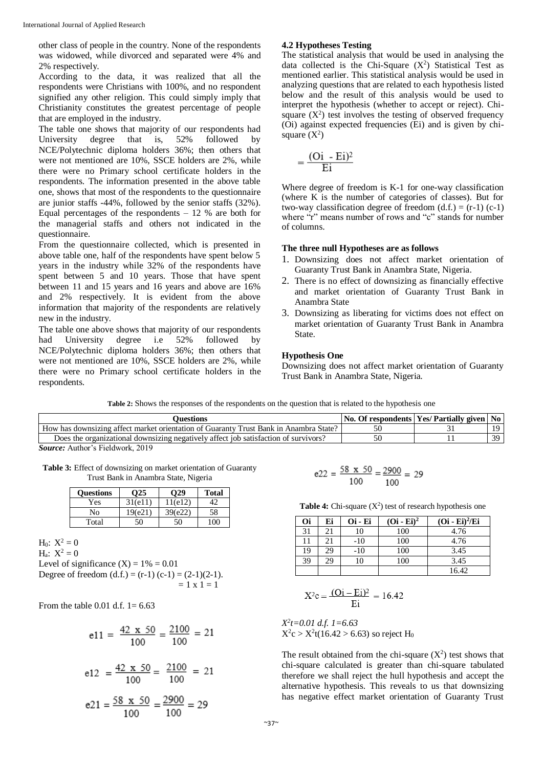other class of people in the country. None of the respondents was widowed, while divorced and separated were 4% and 2% respectively.

According to the data, it was realized that all the respondents were Christians with 100%, and no respondent signified any other religion. This could simply imply that Christianity constitutes the greatest percentage of people that are employed in the industry.

The table one shows that majority of our respondents had University degree that is, 52% followed by NCE/Polytechnic diploma holders 36%; then others that were not mentioned are 10%, SSCE holders are 2%, while there were no Primary school certificate holders in the respondents. The information presented in the above table one, shows that most of the respondents to the questionnaire are junior staffs -44%, followed by the senior staffs (32%). Equal percentages of the respondents  $-12$  % are both for the managerial staffs and others not indicated in the questionnaire.

From the questionnaire collected, which is presented in above table one, half of the respondents have spent below 5 years in the industry while 32% of the respondents have spent between 5 and 10 years. Those that have spent between 11 and 15 years and 16 years and above are 16% and 2% respectively. It is evident from the above information that majority of the respondents are relatively new in the industry.

The table one above shows that majority of our respondents had University degree i.e 52% followed by NCE/Polytechnic diploma holders 36%; then others that were not mentioned are 10%, SSCE holders are 2%, while there were no Primary school certificate holders in the respondents.

## **4.2 Hypotheses Testing**

The statistical analysis that would be used in analysing the data collected is the Chi-Square  $(X^2)$  Statistical Test as mentioned earlier. This statistical analysis would be used in analyzing questions that are related to each hypothesis listed below and the result of this analysis would be used to interpret the hypothesis (whether to accept or reject). Chisquare  $(X^2)$  test involves the testing of observed frequency (Oi) against expected frequencies (Ei) and is given by chisquare  $(X^2)$ 

$$
=\frac{(Oi - Ei)^2}{Ei}
$$

Where degree of freedom is K-1 for one-way classification (where K is the number of categories of classes). But for two-way classification degree of freedom  $(d.f.) = (r-1) (c-1)$ where "r" means number of rows and "c" stands for number of columns.

## **The three null Hypotheses are as follows**

- 1. Downsizing does not affect market orientation of Guaranty Trust Bank in Anambra State, Nigeria.
- 2. There is no effect of downsizing as financially effective and market orientation of Guaranty Trust Bank in Anambra State
- 3. Downsizing as liberating for victims does not effect on market orientation of Guaranty Trust Bank in Anambra State.

#### **Hypothesis One**

Downsizing does not affect market orientation of Guaranty Trust Bank in Anambra State, Nigeria.

**Table 2:** Shows the responses of the respondents on the question that is related to the hypothesis one

| ')uestions                                                                            |    | No. Of respondents Yes/ Partially given | No. |
|---------------------------------------------------------------------------------------|----|-----------------------------------------|-----|
| How has downsizing affect market orientation of Guaranty Trust Bank in Anambra State? |    |                                         | 10  |
| Does the organizational downsizing negatively affect job satisfaction of survivors?   | 50 |                                         | 39  |

*Source:* Author's Fieldwork, 2019

**Table 3:** Effect of downsizing on market orientation of Guaranty Trust Bank in Anambra State, Nigeria

| <b>Questions</b> | ')25    | 029     | <b>Total</b> |
|------------------|---------|---------|--------------|
| Yes              | 31(e11) | 11(e12) |              |
| No               | 19(e21) | 39(e22) | 58           |
| Total            | 50      | 50      | 100          |

H<sub>0</sub>:  $X^2 = 0$  $H_a$ :  $X^2 = 0$ Level of significance  $(X) = 1\% = 0.01$ Degree of freedom  $(d.f.) = (r-1) (c-1) = (2-1)(2-1)$ .  $= 1 x 1 = 1$ 

From the table 0.01 d.f.  $1 = 6.63$ 

$$
e11 = \frac{42 \times 50}{100} = \frac{2100}{100} = 21
$$

$$
e12 = \frac{42 \times 50}{100} = \frac{2100}{100} = 21
$$

$$
e21 = \frac{58 \times 50}{100} = \frac{2900}{100} = 29
$$

$$
e22 = \frac{58 \times 50}{100} = \frac{2900}{100} = 29
$$

**Table 4:** Chi-square  $(X^2)$  test of research hypothesis one

| Oi | Ei | Oi - Ei | $(Oi - Ei)^2$ | $(Oi - Ei)^2/Ei$ |
|----|----|---------|---------------|------------------|
| 31 | 21 | 10      | 100           | 4.76             |
| 11 | 21 | $-10$   | 100           | 4.76             |
| 19 | 29 | $-10$   | 100           | 3.45             |
| 39 | 29 | 10      | 100           | 3.45             |
|    |    |         |               | 16.42            |

$$
X^2c = \frac{(Oi - Ei)^2}{Ei} = 16.42
$$

*X 2 t=0.01 d.f. 1=6.63*  $X^2c > X^2t(16.42 > 6.63)$  so reject H<sub>0</sub>

The result obtained from the chi-square  $(X^2)$  test shows that chi-square calculated is greater than chi-square tabulated therefore we shall reject the hull hypothesis and accept the alternative hypothesis. This reveals to us that downsizing has negative effect market orientation of Guaranty Trust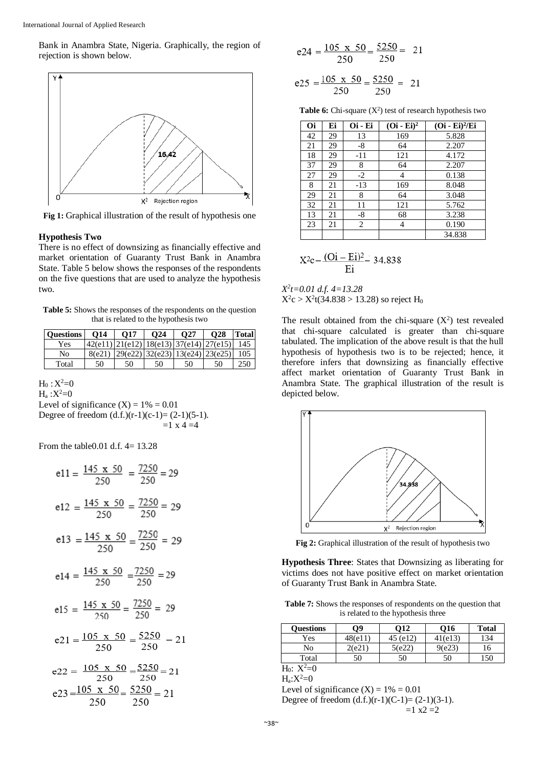Bank in Anambra State, Nigeria. Graphically, the region of rejection is shown below.



**Fig 1:** Graphical illustration of the result of hypothesis one

#### **Hypothesis Two**

There is no effect of downsizing as financially effective and market orientation of Guaranty Trust Bank in Anambra State. Table 5 below shows the responses of the respondents on the five questions that are used to analyze the hypothesis two.

**Table 5:** Shows the responses of the respondents on the question that is related to the hypothesis two

| <b>Ouestions</b> | O14 | $\Omega$ 17 | O <sub>24</sub> | O27                                              | <b>O28</b> | <b>Total</b> |
|------------------|-----|-------------|-----------------|--------------------------------------------------|------------|--------------|
| Yes              |     |             |                 | $ 42(e11) 21(e12) 18(e13) 37(e14) 27(e15) $      |            | -145         |
| No               |     |             |                 | $8(e21)$   29(e22)   32(e23)   13(e24)   23(e25) |            | 105          |
| Total            | 50  | 50          | 50              | 50                                               | 50         | 250          |

 $H_0 : X^2 = 0$ 

 $H_a : X^2 = 0$ Level of significance  $(X) = 1\% = 0.01$ Degree of freedom  $(d.f.)(r-1)(c-1)=(2-1)(5-1)$ .  $=1 \times 4 = 4$ 

From the table 0.01 d.f.  $4 = 13.28$ 

$$
e11 = \frac{145 \times 50}{250} = \frac{7250}{250} = 29
$$
  
\n
$$
e12 = \frac{145 \times 50}{250} = \frac{7250}{250} = 29
$$
  
\n
$$
e13 = \frac{145 \times 50}{250} = \frac{7250}{250} = 29
$$
  
\n
$$
e14 = \frac{145 \times 50}{250} = \frac{7250}{250} = 29
$$
  
\n
$$
e15 = \frac{145 \times 50}{250} = \frac{7250}{250} = 29
$$
  
\n
$$
e21 = \frac{105 \times 50}{250} = \frac{5250}{250} = 21
$$
  
\n
$$
e22 = \frac{105 \times 50}{250} = \frac{5250}{250} = 21
$$
  
\n
$$
e23 = \frac{105 \times 50}{250} = \frac{5250}{250} = 21
$$

$$
e24 = \frac{105 \times 50}{250} = \frac{5250}{250} = 21
$$

$$
e25 = \frac{105 \times 50}{250} = \frac{5250}{250} = 21
$$

**Table 6:** Chi-square  $(X^2)$  test of research hypothesis two

| Oi | Ei | Oi - Ei | $(Oi - Ei)^2$ | $(Oi - Ei)^2/Ei$ |
|----|----|---------|---------------|------------------|
| 42 | 29 | 13      | 169           | 5.828            |
| 21 | 29 | $-8$    | 64            | 2.207            |
| 18 | 29 | $-11$   | 121           | 4.172            |
| 37 | 29 | 8       | 64            | 2.207            |
| 27 | 29 | $-2$    | 4             | 0.138            |
| 8  | 21 | $-13$   | 169           | 8.048            |
| 29 | 21 | 8       | 64            | 3.048            |
| 32 | 21 | 11      | 121           | 5.762            |
| 13 | 21 | -8      | 68            | 3.238            |
| 23 | 21 | 2       | 4             | 0.190            |
|    |    |         |               | 34.838           |

$$
X^{2}c = \frac{(Qi - Ei)^{2}}{Ei} = 34.838
$$

*X 2 t=0.01 d.f. 4=13.28*  $X^2c > X^2t(34.838 > 13.28)$  so reject H<sub>0</sub>

The result obtained from the chi-square  $(X^2)$  test revealed that chi-square calculated is greater than chi-square tabulated. The implication of the above result is that the hull hypothesis of hypothesis two is to be rejected; hence, it therefore infers that downsizing as financially effective affect market orientation of Guaranty Trust Bank in Anambra State. The graphical illustration of the result is depicted below.



**Fig 2:** Graphical illustration of the result of hypothesis two

**Hypothesis Three**: States that Downsizing as liberating for victims does not have positive effect on market orientation of Guaranty Trust Bank in Anambra State.

**Table 7:** Shows the responses of respondents on the question that is related to the hypothesis three

| <b>Ouestions</b> | 79      | O12      | O16     | <b>Total</b> |
|------------------|---------|----------|---------|--------------|
| Yes              | 48(e11) | 45 (e12) | 41(e13) | 134          |
| No               | 2(e21)  | 5(e22)   | 9(e23)  | 16           |
| Total            | 50      | 50       | 50      | 150          |

 $H_0: X^2=0$ 

 $H_a: X^2=0$ 

Level of significance  $(X) = 1\% = 0.01$ Degree of freedom  $(d.f.)(r-1)(C-1)=(2-1)(3-1)$ .  $=1$  x2  $=2$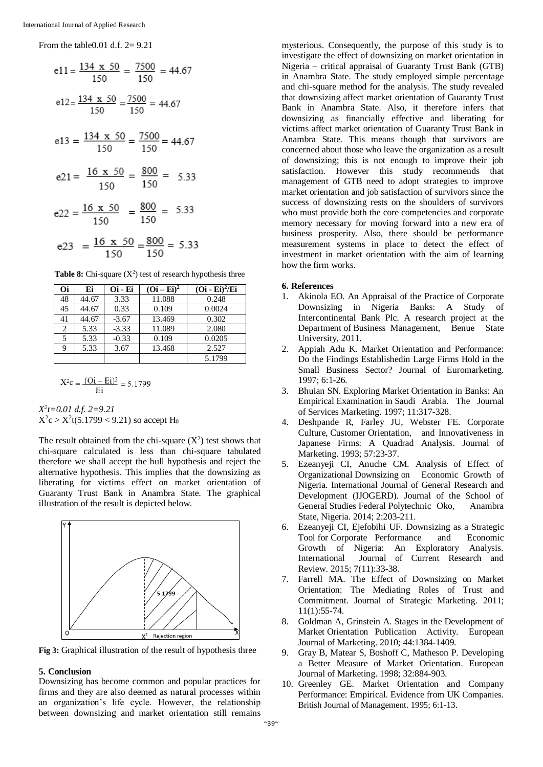From the table0.01 d.f. 2= 9.21

$$
e11 = \frac{134 \times 50}{150} = \frac{7500}{150} = 44.67
$$
  
\n
$$
e12 = \frac{134 \times 50}{150} = \frac{7500}{150} = 44.67
$$
  
\n
$$
e13 = \frac{134 \times 50}{150} = \frac{7500}{150} = 44.67
$$
  
\n
$$
e21 = \frac{16 \times 50}{150} = \frac{800}{150} = 5.33
$$
  
\n
$$
e22 = \frac{16 \times 50}{150} = \frac{800}{150} = 5.33
$$
  
\n
$$
e23 = \frac{16 \times 50}{150} = \frac{800}{150} = 5.33
$$

**Table 8:** Chi-square  $(X^2)$  test of research hypothesis three

| Oi             | Ei    | Oi - Ei | $(Oi-Ei)^2$ | $(Oi - Ei)^2/Ei$ |
|----------------|-------|---------|-------------|------------------|
| 48             | 44.67 | 3.33    | 11.088      | 0.248            |
| 45             | 44.67 | 0.33    | 0.109       | 0.0024           |
| 41             | 44.67 | $-3.67$ | 13.469      | 0.302            |
| $\overline{2}$ | 5.33  | $-3.33$ | 11.089      | 2.080            |
| 5              | 5.33  | $-0.33$ | 0.109       | 0.0205           |
| 9              | 5.33  | 3.67    | 13.468      | 2.527            |
|                |       |         |             | 5.1799           |

$$
X^{2}c = \frac{(Qi - Ei)^{2}}{Ei} = 5.1799
$$

*X 2 t=0.01 d.f. 2=9.21*  $X^2c > X^2t(5.1799 < 9.21)$  so accept H<sub>0</sub>

The result obtained from the chi-square  $(X^2)$  test shows that chi-square calculated is less than chi-square tabulated therefore we shall accept the hull hypothesis and reject the alternative hypothesis. This implies that the downsizing as liberating for victims effect on market orientation of Guaranty Trust Bank in Anambra State. The graphical illustration of the result is depicted below.



**Fig 3:** Graphical illustration of the result of hypothesis three

## **5. Conclusion**

Downsizing has become common and popular practices for firms and they are also deemed as natural processes within an organization's life cycle. However, the relationship between downsizing and market orientation still remains

mysterious. Consequently, the purpose of this study is to investigate the effect of downsizing on market orientation in Nigeria – critical appraisal of Guaranty Trust Bank (GTB) in Anambra State. The study employed simple percentage and chi-square method for the analysis. The study revealed that downsizing affect market orientation of Guaranty Trust Bank in Anambra State. Also, it therefore infers that downsizing as financially effective and liberating for victims affect market orientation of Guaranty Trust Bank in Anambra State. This means though that survivors are concerned about those who leave the organization as a result of downsizing; this is not enough to improve their job satisfaction. However this study recommends that management of GTB need to adopt strategies to improve market orientation and job satisfaction of survivors since the success of downsizing rests on the shoulders of survivors who must provide both the core competencies and corporate memory necessary for moving forward into a new era of business prosperity. Also, there should be performance measurement systems in place to detect the effect of investment in market orientation with the aim of learning how the firm works.

#### **6. References**

- 1. Akinola EO. An Appraisal of the Practice of Corporate Downsizing in Nigeria Banks: A Study of Intercontinental Bank Plc. A research project at the Department of Business Management, Benue State University, 2011.
- 2. Appiah Adu K. Market Orientation and Performance: Do the Findings Establishedin Large Firms Hold in the Small Business Sector? Journal of Euromarketing. 1997; 6:1-26.
- 3. Bhuian SN. Exploring Market Orientation in Banks: An Empirical Examination in Saudi Arabia. The Journal of Services Marketing. 1997; 11:317-328.
- 4. Deshpande R, Farley JU, Webster FE. Corporate Culture, Customer Orientation, and Innovativeness in Japanese Firms: A Quadrad Analysis. Journal of Marketing. 1993; 57:23-37.
- 5. Ezeanyeji CI, Anuche CM. Analysis of Effect of Organizational Downsizing on Economic Growth of Nigeria. International Journal of General Research and Development (IJOGERD). Journal of the School of General Studies Federal Polytechnic Oko, Anambra State, Nigeria. 2014; 2:203-211.
- 6. Ezeanyeji CI, Ejefobihi UF. Downsizing as a Strategic Tool for Corporate Performance and Economic Growth of Nigeria: An Exploratory Analysis.<br>International Journal of Current Research and Journal of Current Research and Review. 2015; 7(11):33-38.
- 7. Farrell MA. The Effect of Downsizing on Market Orientation: The Mediating Roles of Trust and Commitment. Journal of Strategic Marketing. 2011; 11(1):55-74.
- 8. Goldman A, Grinstein A. Stages in the Development of Market Orientation Publication Activity. European Journal of Marketing. 2010; 44:1384-1409.
- 9. Gray B, Matear S, Boshoff C, Matheson P. Developing a Better Measure of Market Orientation. European Journal of Marketing. 1998; 32:884-903.
- 10. Greenley GE. Market Orientation and Company Performance: Empirical. Evidence from UK Companies. British Journal of Management. 1995; 6:1-13.